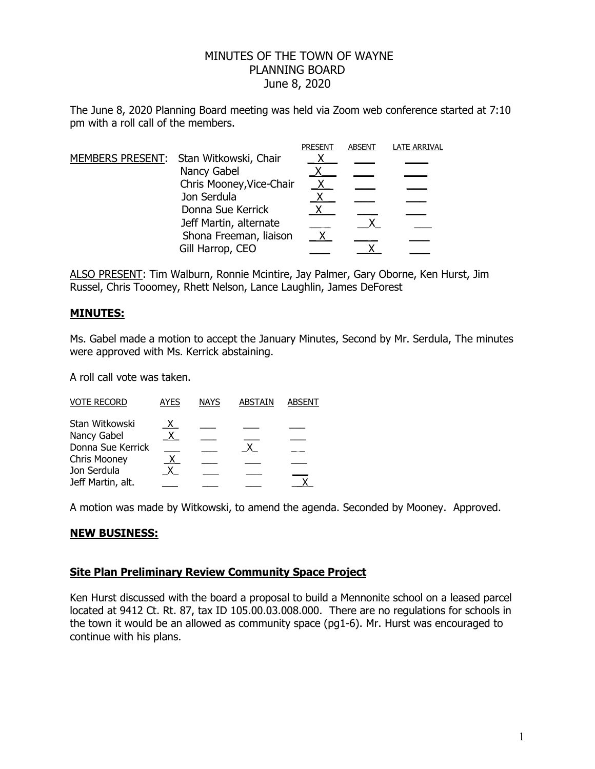# MINUTES OF THE TOWN OF WAYNE PLANNING BOARD June 8, 2020

The June 8, 2020 Planning Board meeting was held via Zoom web conference started at 7:10 pm with a roll call of the members.

|  |                                        | <b>PRESENT</b> | <b>ABSENT</b> | LATE ARRIVAL |
|--|----------------------------------------|----------------|---------------|--------------|
|  | MEMBERS PRESENT: Stan Witkowski, Chair |                |               |              |
|  | Nancy Gabel                            |                |               |              |
|  | Chris Mooney, Vice-Chair               |                |               |              |
|  | Jon Serdula                            |                |               |              |
|  | Donna Sue Kerrick                      |                |               |              |
|  | Jeff Martin, alternate                 |                |               |              |
|  | Shona Freeman, liaison                 |                |               |              |
|  | Gill Harrop, CEO                       |                |               |              |

ALSO PRESENT: Tim Walburn, Ronnie Mcintire, Jay Palmer, Gary Oborne, Ken Hurst, Jim Russel, Chris Tooomey, Rhett Nelson, Lance Laughlin, James DeForest

## **MINUTES:**

Ms. Gabel made a motion to accept the January Minutes, Second by Mr. Serdula, The minutes were approved with Ms. Kerrick abstaining.

A roll call vote was taken.

| <b>VOTE RECORD</b> | <b>AYES</b>  | <b>NAYS</b> | <b>ABSTAIN</b> | <b>ABSENT</b> |
|--------------------|--------------|-------------|----------------|---------------|
| Stan Witkowski     |              |             |                |               |
| Nancy Gabel        | $\mathsf{X}$ |             |                |               |
| Donna Sue Kerrick  |              |             |                |               |
| Chris Mooney       | X.           |             |                |               |
| Jon Serdula        |              |             |                |               |
| Jeff Martin, alt.  |              |             |                |               |

A motion was made by Witkowski, to amend the agenda. Seconded by Mooney. Approved.

## **NEW BUSINESS:**

#### **Site Plan Preliminary Review Community Space Project**

Ken Hurst discussed with the board a proposal to build a Mennonite school on a leased parcel located at 9412 Ct. Rt. 87, tax ID 105.00.03.008.000. There are no regulations for schools in the town it would be an allowed as community space (pg1-6). Mr. Hurst was encouraged to continue with his plans.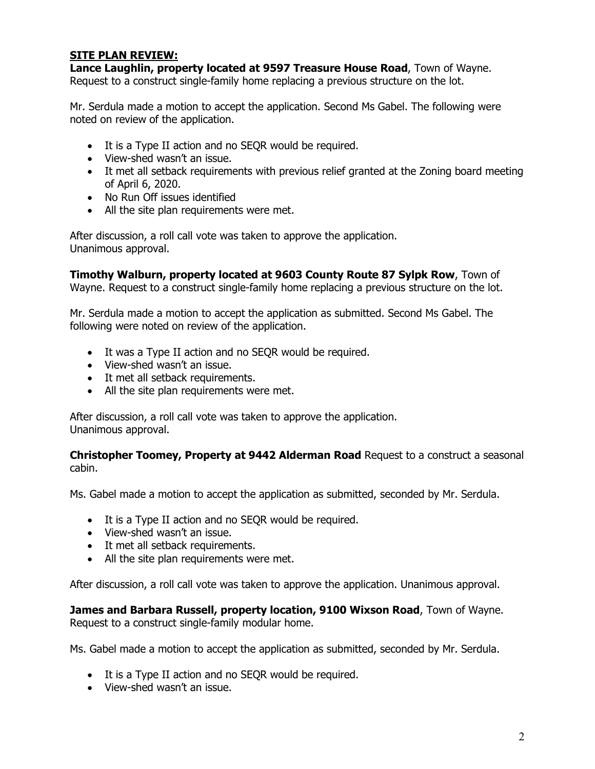## **SITE PLAN REVIEW:**

**Lance Laughlin, property located at 9597 Treasure House Road**, Town of Wayne. Request to a construct single-family home replacing a previous structure on the lot.

Mr. Serdula made a motion to accept the application. Second Ms Gabel. The following were noted on review of the application.

- It is a Type II action and no SEQR would be required.
- View-shed wasn't an issue.
- It met all setback requirements with previous relief granted at the Zoning board meeting of April 6, 2020.
- No Run Off issues identified
- All the site plan requirements were met.

After discussion, a roll call vote was taken to approve the application. Unanimous approval.

**Timothy Walburn, property located at 9603 County Route 87 Sylpk Row**, Town of Wayne. Request to a construct single-family home replacing a previous structure on the lot.

Mr. Serdula made a motion to accept the application as submitted. Second Ms Gabel. The following were noted on review of the application.

- It was a Type II action and no SEQR would be required.
- View-shed wasn't an issue.
- It met all setback requirements.
- All the site plan requirements were met.

After discussion, a roll call vote was taken to approve the application. Unanimous approval.

**Christopher Toomey, Property at 9442 Alderman Road** Request to a construct a seasonal cabin.

Ms. Gabel made a motion to accept the application as submitted, seconded by Mr. Serdula.

- It is a Type II action and no SEQR would be required.
- View-shed wasn't an issue.
- It met all setback requirements.
- All the site plan requirements were met.

After discussion, a roll call vote was taken to approve the application. Unanimous approval.

**James and Barbara Russell, property location, 9100 Wixson Road**, Town of Wayne. Request to a construct single-family modular home.

Ms. Gabel made a motion to accept the application as submitted, seconded by Mr. Serdula.

- It is a Type II action and no SEQR would be required.
- View-shed wasn't an issue.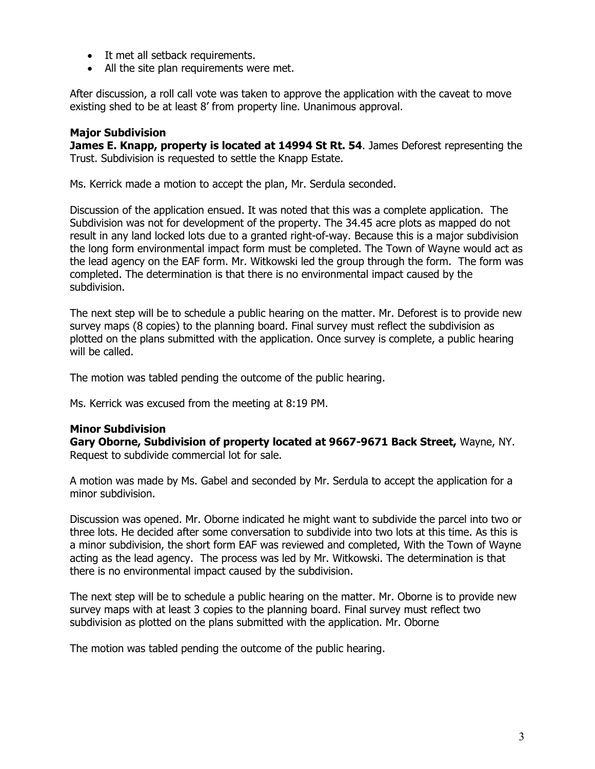- It met all setback requirements.
- All the site plan requirements were met.

After discussion, a roll call vote was taken to approve the application with the caveat to move existing shed to be at least 8' from property line. Unanimous approval.

## **Major Subdivision**

**James E. Knapp, property is located at 14994 St Rt. 54**. James Deforest representing the Trust. Subdivision is requested to settle the Knapp Estate.

Ms. Kerrick made a motion to accept the plan, Mr. Serdula seconded.

Discussion of the application ensued. It was noted that this was a complete application. The Subdivision was not for development of the property. The 34.45 acre plots as mapped do not result in any land locked lots due to a granted right-of-way. Because this is a major subdivision the long form environmental impact form must be completed. The Town of Wayne would act as the lead agency on the EAF form. Mr. Witkowski led the group through the form. The form was completed. The determination is that there is no environmental impact caused by the subdivision.

The next step will be to schedule a public hearing on the matter. Mr. Deforest is to provide new survey maps (8 copies) to the planning board. Final survey must reflect the subdivision as plotted on the plans submitted with the application. Once survey is complete, a public hearing will be called.

The motion was tabled pending the outcome of the public hearing.

Ms. Kerrick was excused from the meeting at 8:19 PM.

#### **Minor Subdivision**

**Gary Oborne, Subdivision of property located at 9667-9671 Back Street,** Wayne, NY. Request to subdivide commercial lot for sale.

A motion was made by Ms. Gabel and seconded by Mr. Serdula to accept the application for a minor subdivision.

Discussion was opened. Mr. Oborne indicated he might want to subdivide the parcel into two or three lots. He decided after some conversation to subdivide into two lots at this time. As this is a minor subdivision, the short form EAF was reviewed and completed, With the Town of Wayne acting as the lead agency. The process was led by Mr. Witkowski. The determination is that there is no environmental impact caused by the subdivision.

The next step will be to schedule a public hearing on the matter. Mr. Oborne is to provide new survey maps with at least 3 copies to the planning board. Final survey must reflect two subdivision as plotted on the plans submitted with the application. Mr. Oborne

The motion was tabled pending the outcome of the public hearing.